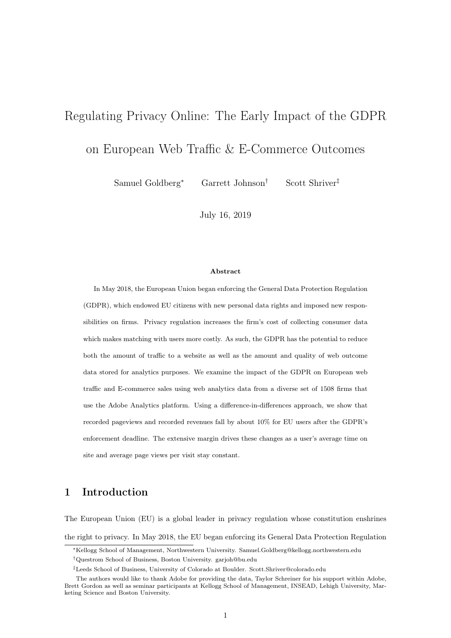# <span id="page-0-0"></span>Regulating Privacy Online: The Early Impact of the GDPR

on European Web Traffic & E-Commerce Outcomes

Samuel Goldberg<sup>∗</sup> Garrett Johnson† Scott Shriver‡

July 16, 2019

#### Abstract

In May 2018, the European Union began enforcing the General Data Protection Regulation (GDPR), which endowed EU citizens with new personal data rights and imposed new responsibilities on firms. Privacy regulation increases the firm's cost of collecting consumer data which makes matching with users more costly. As such, the GDPR has the potential to reduce both the amount of traffic to a website as well as the amount and quality of web outcome data stored for analytics purposes. We examine the impact of the GDPR on European web traffic and E-commerce sales using web analytics data from a diverse set of 1508 firms that use the Adobe Analytics platform. Using a difference-in-differences approach, we show that recorded pageviews and recorded revenues fall by about 10% for EU users after the GDPR's enforcement deadline. The extensive margin drives these changes as a user's average time on site and average page views per visit stay constant.

## 1 Introduction

The European Union (EU) is a global leader in privacy regulation whose constitution enshrines the right to privacy. In May 2018, the EU began enforcing its General Data Protection Regulation

<sup>∗</sup>Kellogg School of Management, Northwestern University. Samuel.Goldberg@kellogg.northwestern.edu

<sup>†</sup>Questrom School of Business, Boston University. garjoh@bu.edu

<sup>‡</sup>Leeds School of Business, University of Colorado at Boulder. Scott.Shriver@colorado.edu

The authors would like to thank Adobe for providing the data, Taylor Schreiner for his support within Adobe, Brett Gordon as well as seminar participants at Kellogg School of Management, INSEAD, Lehigh University, Marketing Science and Boston University.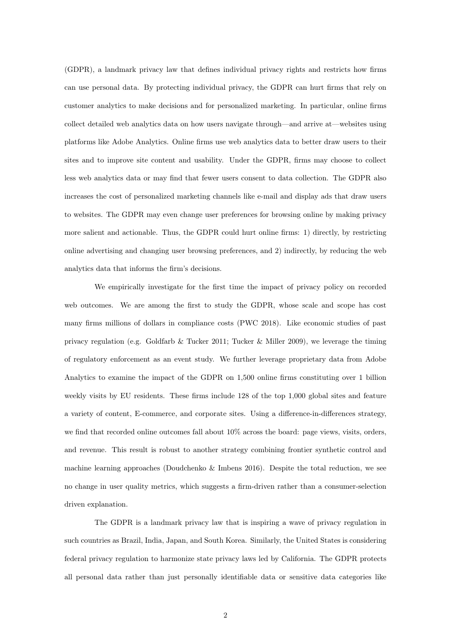(GDPR), a landmark privacy law that defines individual privacy rights and restricts how firms can use personal data. By protecting individual privacy, the GDPR can hurt firms that rely on customer analytics to make decisions and for personalized marketing. In particular, online firms collect detailed web analytics data on how users navigate through—and arrive at—websites using platforms like Adobe Analytics. Online firms use web analytics data to better draw users to their sites and to improve site content and usability. Under the GDPR, firms may choose to collect less web analytics data or may find that fewer users consent to data collection. The GDPR also increases the cost of personalized marketing channels like e-mail and display ads that draw users to websites. The GDPR may even change user preferences for browsing online by making privacy more salient and actionable. Thus, the GDPR could hurt online firms: 1) directly, by restricting online advertising and changing user browsing preferences, and 2) indirectly, by reducing the web analytics data that informs the firm's decisions.

We empirically investigate for the first time the impact of privacy policy on recorded web outcomes. We are among the first to study the GDPR, whose scale and scope has cost many firms millions of dollars in compliance costs (PWC 2018). Like economic studies of past privacy regulation (e.g. Goldfarb & Tucker 2011; Tucker & Miller 2009), we leverage the timing of regulatory enforcement as an event study. We further leverage proprietary data from Adobe Analytics to examine the impact of the GDPR on 1,500 online firms constituting over 1 billion weekly visits by EU residents. These firms include 128 of the top 1,000 global sites and feature a variety of content, E-commerce, and corporate sites. Using a difference-in-differences strategy, we find that recorded online outcomes fall about 10% across the board: page views, visits, orders, and revenue. This result is robust to another strategy combining frontier synthetic control and machine learning approaches (Doudchenko & Imbens 2016). Despite the total reduction, we see no change in user quality metrics, which suggests a firm-driven rather than a consumer-selection driven explanation.

The GDPR is a landmark privacy law that is inspiring a wave of privacy regulation in such countries as Brazil, India, Japan, and South Korea. Similarly, the United States is considering federal privacy regulation to harmonize state privacy laws led by California. The GDPR protects all personal data rather than just personally identifiable data or sensitive data categories like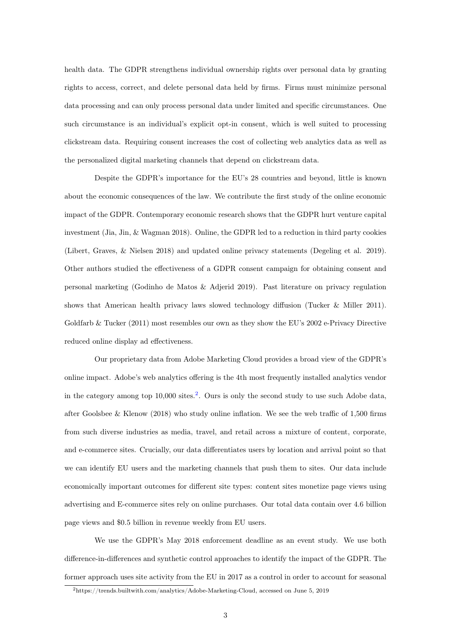health data. The GDPR strengthens individual ownership rights over personal data by granting rights to access, correct, and delete personal data held by firms. Firms must minimize personal data processing and can only process personal data under limited and specific circumstances. One such circumstance is an individual's explicit opt-in consent, which is well suited to processing clickstream data. Requiring consent increases the cost of collecting web analytics data as well as the personalized digital marketing channels that depend on clickstream data.

Despite the GDPR's importance for the EU's 28 countries and beyond, little is known about the economic consequences of the law. We contribute the first study of the online economic impact of the GDPR. Contemporary economic research shows that the GDPR hurt venture capital investment (Jia, Jin, & Wagman 2018). Online, the GDPR led to a reduction in third party cookies (Libert, Graves, & Nielsen 2018) and updated online privacy statements (Degeling et al. 2019). Other authors studied the effectiveness of a GDPR consent campaign for obtaining consent and personal marketing (Godinho de Matos & Adjerid 2019). Past literature on privacy regulation shows that American health privacy laws slowed technology diffusion (Tucker & Miller 2011). Goldfarb & Tucker (2011) most resembles our own as they show the EU's 2002 e-Privacy Directive reduced online display ad effectiveness.

Our proprietary data from Adobe Marketing Cloud provides a broad view of the GDPR's online impact. Adobe's web analytics offering is the 4th most frequently installed analytics vendor in the category among top 10,000 sites.<sup>[2](#page-0-0)</sup>. Ours is only the second study to use such Adobe data, after Goolsbee & Klenow (2018) who study online inflation. We see the web traffic of  $1,500$  firms from such diverse industries as media, travel, and retail across a mixture of content, corporate, and e-commerce sites. Crucially, our data differentiates users by location and arrival point so that we can identify EU users and the marketing channels that push them to sites. Our data include economically important outcomes for different site types: content sites monetize page views using advertising and E-commerce sites rely on online purchases. Our total data contain over 4.6 billion page views and \$0.5 billion in revenue weekly from EU users.

We use the GDPR's May 2018 enforcement deadline as an event study. We use both difference-in-differences and synthetic control approaches to identify the impact of the GDPR. The former approach uses site activity from the EU in 2017 as a control in order to account for seasonal

<sup>2</sup>https://trends.builtwith.com/analytics/Adobe-Marketing-Cloud, accessed on June 5, 2019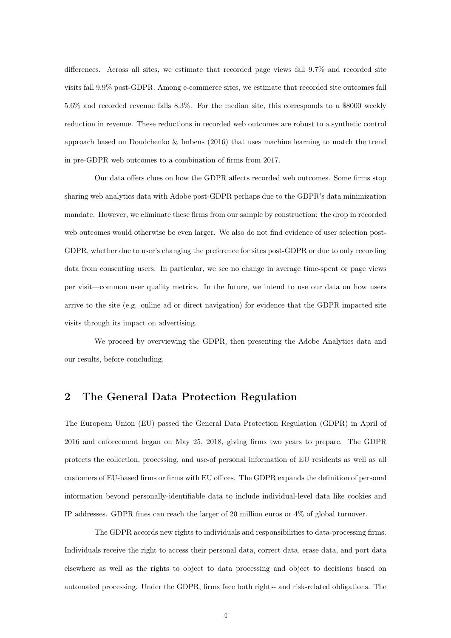differences. Across all sites, we estimate that recorded page views fall 9.7% and recorded site visits fall 9.9% post-GDPR. Among e-commerce sites, we estimate that recorded site outcomes fall 5.6% and recorded revenue falls 8.3%. For the median site, this corresponds to a \$8000 weekly reduction in revenue. These reductions in recorded web outcomes are robust to a synthetic control approach based on Doudchenko & Imbens (2016) that uses machine learning to match the trend in pre-GDPR web outcomes to a combination of firms from 2017.

Our data offers clues on how the GDPR affects recorded web outcomes. Some firms stop sharing web analytics data with Adobe post-GDPR perhaps due to the GDPR's data minimization mandate. However, we eliminate these firms from our sample by construction: the drop in recorded web outcomes would otherwise be even larger. We also do not find evidence of user selection post-GDPR, whether due to user's changing the preference for sites post-GDPR or due to only recording data from consenting users. In particular, we see no change in average time-spent or page views per visit—common user quality metrics. In the future, we intend to use our data on how users arrive to the site (e.g. online ad or direct navigation) for evidence that the GDPR impacted site visits through its impact on advertising.

We proceed by overviewing the GDPR, then presenting the Adobe Analytics data and our results, before concluding.

## 2 The General Data Protection Regulation

The European Union (EU) passed the General Data Protection Regulation (GDPR) in April of 2016 and enforcement began on May 25, 2018, giving firms two years to prepare. The GDPR protects the collection, processing, and use-of personal information of EU residents as well as all customers of EU-based firms or firms with EU offices. The GDPR expands the definition of personal information beyond personally-identifiable data to include individual-level data like cookies and IP addresses. GDPR fines can reach the larger of 20 million euros or 4% of global turnover.

The GDPR accords new rights to individuals and responsibilities to data-processing firms. Individuals receive the right to access their personal data, correct data, erase data, and port data elsewhere as well as the rights to object to data processing and object to decisions based on automated processing. Under the GDPR, firms face both rights- and risk-related obligations. The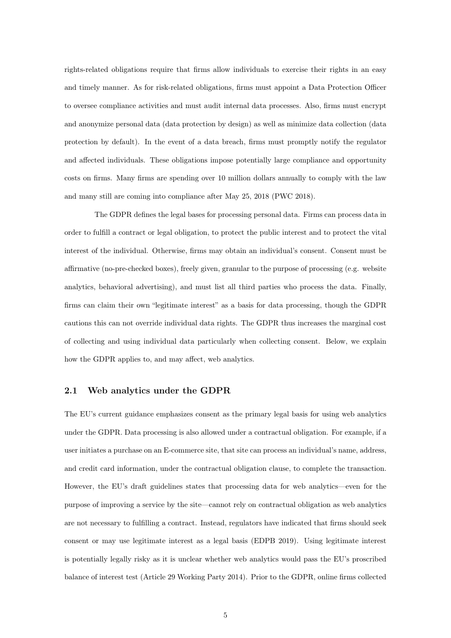rights-related obligations require that firms allow individuals to exercise their rights in an easy and timely manner. As for risk-related obligations, firms must appoint a Data Protection Officer to oversee compliance activities and must audit internal data processes. Also, firms must encrypt and anonymize personal data (data protection by design) as well as minimize data collection (data protection by default). In the event of a data breach, firms must promptly notify the regulator and affected individuals. These obligations impose potentially large compliance and opportunity costs on firms. Many firms are spending over 10 million dollars annually to comply with the law and many still are coming into compliance after May 25, 2018 (PWC 2018).

The GDPR defines the legal bases for processing personal data. Firms can process data in order to fulfill a contract or legal obligation, to protect the public interest and to protect the vital interest of the individual. Otherwise, firms may obtain an individual's consent. Consent must be affirmative (no-pre-checked boxes), freely given, granular to the purpose of processing (e.g. website analytics, behavioral advertising), and must list all third parties who process the data. Finally, firms can claim their own "legitimate interest" as a basis for data processing, though the GDPR cautions this can not override individual data rights. The GDPR thus increases the marginal cost of collecting and using individual data particularly when collecting consent. Below, we explain how the GDPR applies to, and may affect, web analytics.

#### <span id="page-4-0"></span>2.1 Web analytics under the GDPR

The EU's current guidance emphasizes consent as the primary legal basis for using web analytics under the GDPR. Data processing is also allowed under a contractual obligation. For example, if a user initiates a purchase on an E-commerce site, that site can process an individual's name, address, and credit card information, under the contractual obligation clause, to complete the transaction. However, the EU's draft guidelines states that processing data for web analytics—even for the purpose of improving a service by the site—cannot rely on contractual obligation as web analytics are not necessary to fulfilling a contract. Instead, regulators have indicated that firms should seek consent or may use legitimate interest as a legal basis (EDPB 2019). Using legitimate interest is potentially legally risky as it is unclear whether web analytics would pass the EU's proscribed balance of interest test (Article 29 Working Party 2014). Prior to the GDPR, online firms collected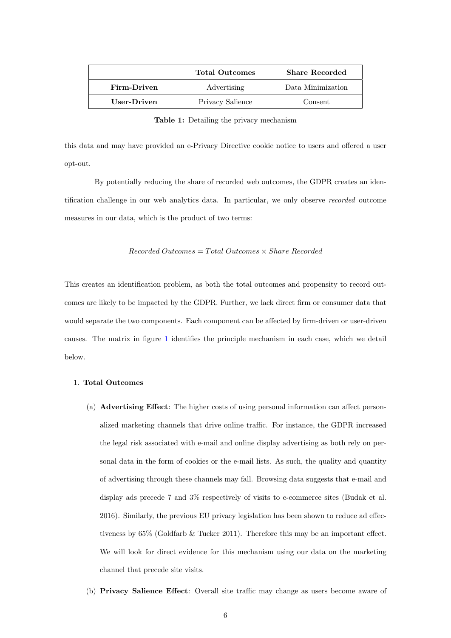<span id="page-5-0"></span>

|             | <b>Total Outcomes</b> | <b>Share Recorded</b> |
|-------------|-----------------------|-----------------------|
| Firm-Driven | Advertising           | Data Minimization     |
| User-Driven | Privacy Salience      | Consent               |

Table 1: Detailing the privacy mechanism

this data and may have provided an e-Privacy Directive cookie notice to users and offered a user opt-out.

By potentially reducing the share of recorded web outcomes, the GDPR creates an identification challenge in our web analytics data. In particular, we only observe recorded outcome measures in our data, which is the product of two terms:

### $Recorded Outcomes = Total Outcomes \times Share Recorded$

This creates an identification problem, as both the total outcomes and propensity to record outcomes are likely to be impacted by the GDPR. Further, we lack direct firm or consumer data that would separate the two components. Each component can be affected by firm-driven or user-driven causes. The matrix in figure [1](#page-5-0) identifies the principle mechanism in each case, which we detail below.

#### 1. Total Outcomes

- (a) Advertising Effect: The higher costs of using personal information can affect personalized marketing channels that drive online traffic. For instance, the GDPR increased the legal risk associated with e-mail and online display advertising as both rely on personal data in the form of cookies or the e-mail lists. As such, the quality and quantity of advertising through these channels may fall. Browsing data suggests that e-mail and display ads precede 7 and 3% respectively of visits to e-commerce sites (Budak et al. 2016). Similarly, the previous EU privacy legislation has been shown to reduce ad effectiveness by 65% (Goldfarb & Tucker 2011). Therefore this may be an important effect. We will look for direct evidence for this mechanism using our data on the marketing channel that precede site visits.
- (b) Privacy Salience Effect: Overall site traffic may change as users become aware of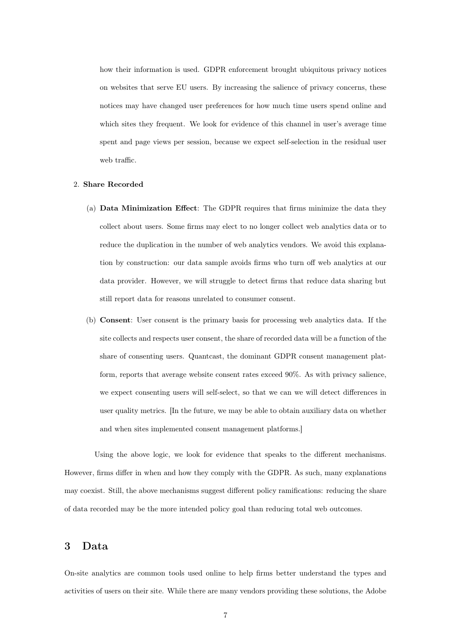how their information is used. GDPR enforcement brought ubiquitous privacy notices on websites that serve EU users. By increasing the salience of privacy concerns, these notices may have changed user preferences for how much time users spend online and which sites they frequent. We look for evidence of this channel in user's average time spent and page views per session, because we expect self-selection in the residual user web traffic.

#### 2. Share Recorded

- (a) Data Minimization Effect: The GDPR requires that firms minimize the data they collect about users. Some firms may elect to no longer collect web analytics data or to reduce the duplication in the number of web analytics vendors. We avoid this explanation by construction: our data sample avoids firms who turn off web analytics at our data provider. However, we will struggle to detect firms that reduce data sharing but still report data for reasons unrelated to consumer consent.
- (b) Consent: User consent is the primary basis for processing web analytics data. If the site collects and respects user consent, the share of recorded data will be a function of the share of consenting users. Quantcast, the dominant GDPR consent management platform, reports that average website consent rates exceed 90%. As with privacy salience, we expect consenting users will self-select, so that we can we will detect differences in user quality metrics. [In the future, we may be able to obtain auxiliary data on whether and when sites implemented consent management platforms.]

Using the above logic, we look for evidence that speaks to the different mechanisms. However, firms differ in when and how they comply with the GDPR. As such, many explanations may coexist. Still, the above mechanisms suggest different policy ramifications: reducing the share of data recorded may be the more intended policy goal than reducing total web outcomes.

## <span id="page-6-0"></span>3 Data

On-site analytics are common tools used online to help firms better understand the types and activities of users on their site. While there are many vendors providing these solutions, the Adobe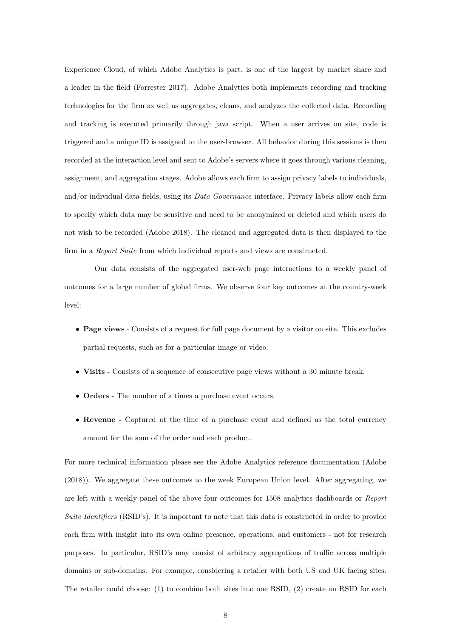Experience Cloud, of which Adobe Analytics is part, is one of the largest by market share and a leader in the field (Forrester 2017). Adobe Analytics both implements recording and tracking technologies for the firm as well as aggregates, cleans, and analyzes the collected data. Recording and tracking is executed primarily through java script. When a user arrives on site, code is triggered and a unique ID is assigned to the user-browser. All behavior during this sessions is then recorded at the interaction level and sent to Adobe's servers where it goes through various cleaning, assignment, and aggregation stages. Adobe allows each firm to assign privacy labels to individuals, and/or individual data fields, using its Data Governance interface. Privacy labels allow each firm to specify which data may be sensitive and need to be anonymized or deleted and which users do not wish to be recorded (Adobe 2018). The cleaned and aggregated data is then displayed to the firm in a *Report Suite* from which individual reports and views are constructed.

Our data consists of the aggregated user-web page interactions to a weekly panel of outcomes for a large number of global firms. We observe four key outcomes at the country-week level:

- Page views Consists of a request for full page document by a visitor on site. This excludes partial requests, such as for a particular image or video.
- Visits Consists of a sequence of consecutive page views without a 30 minute break.
- Orders The number of a times a purchase event occurs.
- Revenue Captured at the time of a purchase event and defined as the total currency amount for the sum of the order and each product.

For more technical information please see the Adobe Analytics reference documentation (Adobe (2018)). We aggregate these outcomes to the week European Union level. After aggregating, we are left with a weekly panel of the above four outcomes for 1508 analytics dashboards or Report Suite Identifiers (RSID's). It is important to note that this data is constructed in order to provide each firm with insight into its own online presence, operations, and customers - not for research purposes. In particular, RSID's may consist of arbitrary aggregations of traffic across multiple domains or sub-domains. For example, considering a retailer with both US and UK facing sites. The retailer could choose: (1) to combine both sites into one RSID, (2) create an RSID for each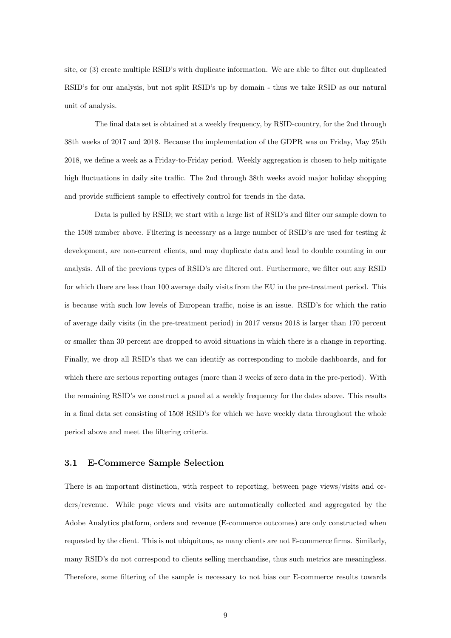site, or (3) create multiple RSID's with duplicate information. We are able to filter out duplicated RSID's for our analysis, but not split RSID's up by domain - thus we take RSID as our natural unit of analysis.

The final data set is obtained at a weekly frequency, by RSID-country, for the 2nd through 38th weeks of 2017 and 2018. Because the implementation of the GDPR was on Friday, May 25th 2018, we define a week as a Friday-to-Friday period. Weekly aggregation is chosen to help mitigate high fluctuations in daily site traffic. The 2nd through 38th weeks avoid major holiday shopping and provide sufficient sample to effectively control for trends in the data.

Data is pulled by RSID; we start with a large list of RSID's and filter our sample down to the 1508 number above. Filtering is necessary as a large number of RSID's are used for testing & development, are non-current clients, and may duplicate data and lead to double counting in our analysis. All of the previous types of RSID's are filtered out. Furthermore, we filter out any RSID for which there are less than 100 average daily visits from the EU in the pre-treatment period. This is because with such low levels of European traffic, noise is an issue. RSID's for which the ratio of average daily visits (in the pre-treatment period) in 2017 versus 2018 is larger than 170 percent or smaller than 30 percent are dropped to avoid situations in which there is a change in reporting. Finally, we drop all RSID's that we can identify as corresponding to mobile dashboards, and for which there are serious reporting outages (more than 3 weeks of zero data in the pre-period). With the remaining RSID's we construct a panel at a weekly frequency for the dates above. This results in a final data set consisting of 1508 RSID's for which we have weekly data throughout the whole period above and meet the filtering criteria.

### 3.1 E-Commerce Sample Selection

There is an important distinction, with respect to reporting, between page views/visits and orders/revenue. While page views and visits are automatically collected and aggregated by the Adobe Analytics platform, orders and revenue (E-commerce outcomes) are only constructed when requested by the client. This is not ubiquitous, as many clients are not E-commerce firms. Similarly, many RSID's do not correspond to clients selling merchandise, thus such metrics are meaningless. Therefore, some filtering of the sample is necessary to not bias our E-commerce results towards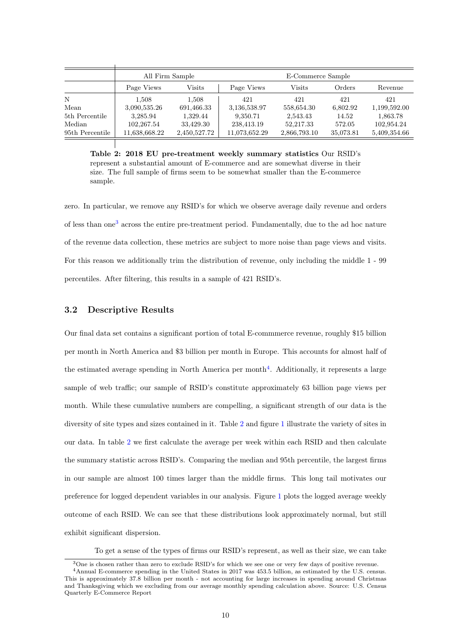<span id="page-9-0"></span>

|                 | All Firm Sample |              |               | E-Commerce Sample |           |              |
|-----------------|-----------------|--------------|---------------|-------------------|-----------|--------------|
|                 | Page Views      | Visits       | Page Views    | Visits            | Orders    | Revenue      |
| N               | 1.508           | 1,508        | 421           | 421               | 421       | 421          |
| Mean            | 3,090,535.26    | 691,466.33   | 3,136,538.97  | 558,654.30        | 6,802.92  | 1,199,592.00 |
| 5th Percentile  | 3,285.94        | 1,329.44     | 9,350.71      | 2,543.43          | 14.52     | 1,863.78     |
| Median          | 102,267.54      | 33,429.30    | 238,413.19    | 52,217.33         | 572.05    | 102,954.24   |
| 95th Percentile | 11,638,668.22   | 2,450,527.72 | 11,073,652.29 | 2,866,793.10      | 35,073.81 | 5,409,354.66 |

Table 2: 2018 EU pre-treatment weekly summary statistics Our RSID's represent a substantial amount of E-commerce and are somewhat diverse in their size. The full sample of firms seem to be somewhat smaller than the E-commerce sample.

zero. In particular, we remove any RSID's for which we observe average daily revenue and orders of less than one[3](#page-0-0) across the entire pre-treatment period. Fundamentally, due to the ad hoc nature of the revenue data collection, these metrics are subject to more noise than page views and visits. For this reason we additionally trim the distribution of revenue, only including the middle 1 - 99 percentiles. After filtering, this results in a sample of 421 RSID's.

### <span id="page-9-1"></span>3.2 Descriptive Results

Our final data set contains a significant portion of total E-commmerce revenue, roughly \$15 billion per month in North America and \$3 billion per month in Europe. This accounts for almost half of the estimated average spending in North America per month<sup>[4](#page-0-0)</sup>. Additionally, it represents a large sample of web traffic; our sample of RSID's constitute approximately 63 billion page views per month. While these cumulative numbers are compelling, a significant strength of our data is the diversity of site types and sizes contained in it. Table [2](#page-9-0) and figure [1](#page-10-0) illustrate the variety of sites in our data. In table [2](#page-9-0) we first calculate the average per week within each RSID and then calculate the summary statistic across RSID's. Comparing the median and 95th percentile, the largest firms in our sample are almost 100 times larger than the middle firms. This long tail motivates our preference for logged dependent variables in our analysis. Figure [1](#page-10-0) plots the logged average weekly outcome of each RSID. We can see that these distributions look approximately normal, but still exhibit significant dispersion.

To get a sense of the types of firms our RSID's represent, as well as their size, we can take

<sup>&</sup>lt;sup>3</sup>One is chosen rather than zero to exclude RSID's for which we see one or very few days of positive revenue.

<sup>4</sup>Annual E-commerce spending in the United States in 2017 was 453.5 billion, as estimated by the U.S. census. This is approximately 37.8 billion per month - not accounting for large increases in spending around Christmas and Thanksgiving which we excluding from our average monthly spending calculation above. Source: U.S. Census Quarterly E-Commerce Report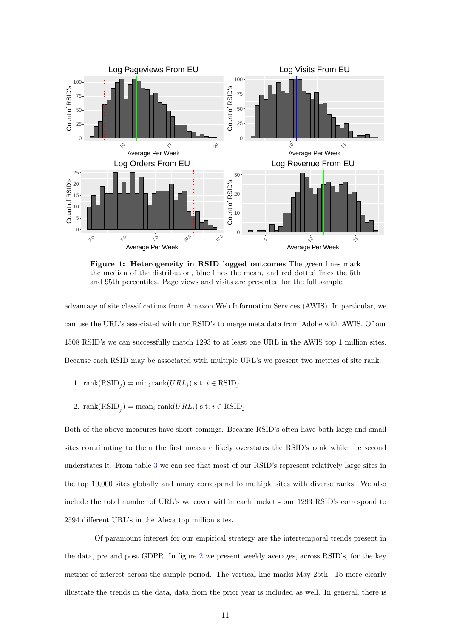<span id="page-10-0"></span>

Figure 1: Heterogeneity in RSID logged outcomes The green lines mark the median of the distribution, blue lines the mean, and red dotted lines the 5th and 95th percentiles. Page views and visits are presented for the full sample.

advantage of site classifications from Amazon Web Information Services (AWIS). In particular, we can use the URL's associated with our RSID's to merge meta data from Adobe with AWIS. Of our 1508 RSID's we can successfully match 1293 to at least one URL in the AWIS top 1 million sites. Because each RSID may be associated with multiple URL's we present two metrics of site rank:

- 1. rank $(RSID_j) = min_i rank(URL_i) \text{ s.t. } i \in RSID_j$
- 2. rank $(RSID_j)$  = mean<sub>i</sub> rank $(URL_i)$  s.t.  $i \in RSID_j$

Both of the above measures have short comings. Because RSID's often have both large and small sites contributing to them the first measure likely overstates the RSID's rank while the second understates it. From table [3](#page-11-0) we can see that most of our RSID's represent relatively large sites in the top 10,000 sites globally and many correspond to multiple sites with diverse ranks. We also include the total number of URL's we cover within each bucket - our 1293 RSID's correspond to 2594 different URL's in the Alexa top million sites.

Of paramount interest for our empirical strategy are the intertemporal trends present in the data, pre and post GDPR. In figure [2](#page-11-1) we present weekly averages, across RSID's, for the key metrics of interest across the sample period. The vertical line marks May 25th. To more clearly illustrate the trends in the data, data from the prior year is included as well. In general, there is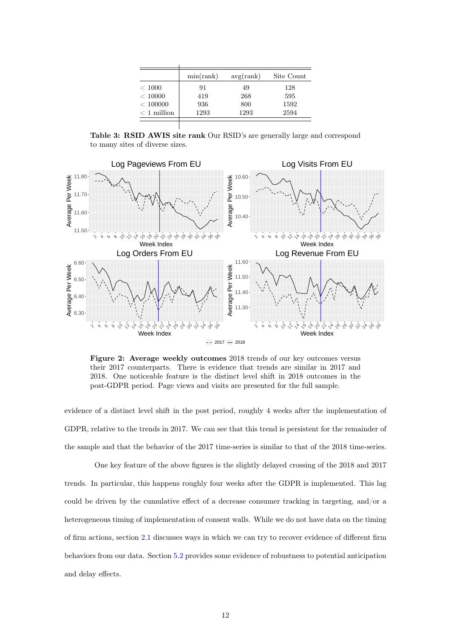<span id="page-11-0"></span>

|               | min(rank) | avg(rank) | Site Count |
|---------------|-----------|-----------|------------|
| < 1000        | 91        | 49        | 128        |
| < 10000       | 419       | 268       | 595        |
| < 100000      | 936       | 800       | 1592       |
| $< 1$ million | 1293      | 1293      | 2594       |
|               |           |           |            |

Table 3: RSID AWIS site rank Our RSID's are generally large and correspond to many sites of diverse sizes.

<span id="page-11-1"></span>

Figure 2: Average weekly outcomes 2018 trends of our key outcomes versus their 2017 counterparts. There is evidence that trends are similar in 2017 and 2018. One noticeable feature is the distinct level shift in 2018 outcomes in the post-GDPR period. Page views and visits are presented for the full sample.

evidence of a distinct level shift in the post period, roughly 4 weeks after the implementation of GDPR, relative to the trends in 2017. We can see that this trend is persistent for the remainder of the sample and that the behavior of the 2017 time-series is similar to that of the 2018 time-series.

One key feature of the above figures is the slightly delayed crossing of the 2018 and 2017 trends. In particular, this happens roughly four weeks after the GDPR is implemented. This lag could be driven by the cumulative effect of a decrease consumer tracking in targeting, and/or a heterogeneous timing of implementation of consent walls. While we do not have data on the timing of firm actions, section [2.1](#page-4-0) discusses ways in which we can try to recover evidence of different firm behaviors from our data. Section [5.2](#page-17-0) provides some evidence of robustness to potential anticipation and delay effects.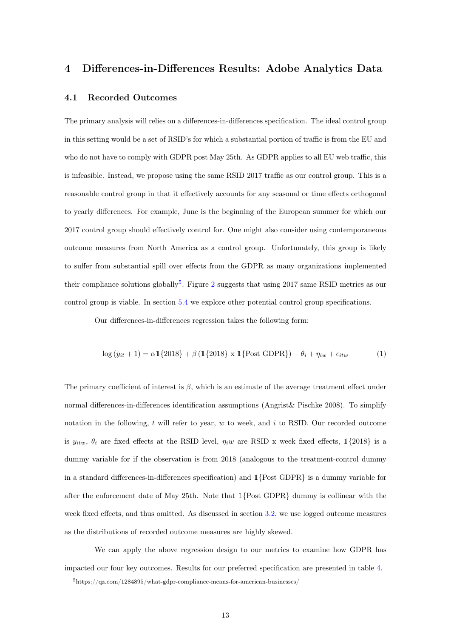## 4 Differences-in-Differences Results: Adobe Analytics Data

### <span id="page-12-1"></span>4.1 Recorded Outcomes

The primary analysis will relies on a differences-in-differences specification. The ideal control group in this setting would be a set of RSID's for which a substantial portion of traffic is from the EU and who do not have to comply with GDPR post May 25th. As GDPR applies to all EU web traffic, this is infeasible. Instead, we propose using the same RSID 2017 traffic as our control group. This is a reasonable control group in that it effectively accounts for any seasonal or time effects orthogonal to yearly differences. For example, June is the beginning of the European summer for which our 2017 control group should effectively control for. One might also consider using contemporaneous outcome measures from North America as a control group. Unfortunately, this group is likely to suffer from substantial spill over effects from the GDPR as many organizations implemented their compliance solutions globally<sup>[5](#page-0-0)</sup>. Figure [2](#page-11-1) suggests that using 2017 same RSID metrics as our control group is viable. In section [5.4](#page-19-0) we explore other potential control group specifications.

Our differences-in-differences regression takes the following form:

<span id="page-12-0"></span>
$$
\log(y_{it} + 1) = \alpha \mathbb{1}\{2018\} + \beta \left(\mathbb{1}\{2018\} \times \mathbb{1}\{\text{Post GDPR}\}\right) + \theta_i + \eta_{iw} + \epsilon_{itw}
$$
 (1)

The primary coefficient of interest is  $\beta$ , which is an estimate of the average treatment effect under normal differences-in-differences identification assumptions (Angrist& Pischke 2008). To simplify notation in the following,  $t$  will refer to year,  $w$  to week, and  $i$  to RSID. Our recorded outcome is  $y_{itw}$ ,  $\theta_i$  are fixed effects at the RSID level,  $\eta_i w$  are RSID x week fixed effects, 1{2018} is a dummy variable for if the observation is from 2018 (analogous to the treatment-control dummy in a standard differences-in-differences specification) and  $\mathbb{1}\{\text{Post GDPR}\}\$ is a dummy variable for after the enforcement date of May 25th. Note that 1{Post GDPR} dummy is collinear with the week fixed effects, and thus omitted. As discussed in section [3.2,](#page-9-1) we use logged outcome measures as the distributions of recorded outcome measures are highly skewed.

We can apply the above regression design to our metrics to examine how GDPR has impacted our four key outcomes. Results for our preferred specification are presented in table [4.](#page-13-0)

<sup>5</sup>https://qz.com/1284895/what-gdpr-compliance-means-for-american-businesses/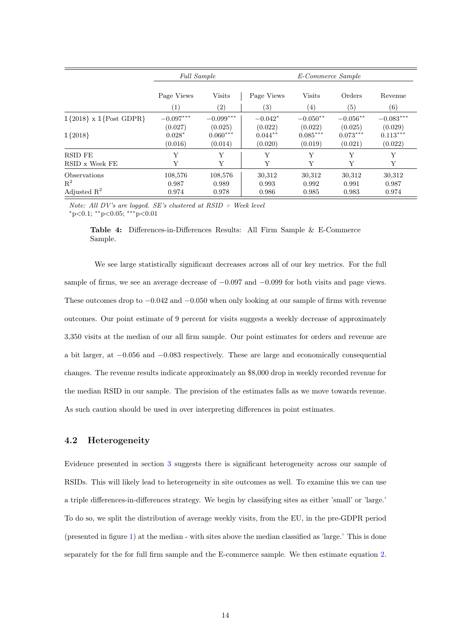<span id="page-13-0"></span>

|                                | <b>Full Sample</b> |               | E-Commerce Sample |               |                   |             |
|--------------------------------|--------------------|---------------|-------------------|---------------|-------------------|-------------|
|                                | Page Views         | <b>Visits</b> | Page Views        | <b>Visits</b> | Orders            | Revenue     |
|                                | (1)                | (2)           | (3)               | (4)           | $\left( 5\right)$ | (6)         |
| $1{2018} \times 1$ {Post GDPR} | $-0.097***$        | $-0.099***$   | $-0.042*$         | $-0.050**$    | $-0.056**$        | $-0.083***$ |
|                                | (0.027)            | (0.025)       | (0.022)           | (0.022)       | (0.025)           | (0.029)     |
| $1{2018}$                      | $0.028*$           | $0.060***$    | $0.044**$         | $0.085***$    | $0.073***$        | $0.113***$  |
|                                | (0.016)            | (0.014)       | (0.020)           | (0.019)       | (0.021)           | (0.022)     |
| <b>RSID FE</b>                 | Y                  | Y             | Υ                 | Y             | Y                 | Υ           |
| RSID x Week FE                 | Y                  | Y             | Y                 | Y             | Y                 | Υ           |
| <b>Observations</b>            | 108,576            | 108,576       | 30,312            | 30,312        | 30,312            | 30,312      |
| $\mathbb{R}^2$                 | 0.987              | 0.989         | 0.993             | 0.992         | 0.991             | 0.987       |
| Adjusted $\mathbb{R}^2$        | 0.974              | 0.978         | 0.986             | 0.985         | 0.983             | 0.974       |

Note: All DV's are logged. SE's clustered at  $RSID + Week$  level  $*_{\text{p}<0.1;}$  \*\* $_{\text{p}<0.05;}$  \*\*\* $_{\text{p}<0.01}$ 

Table 4: Differences-in-Differences Results: All Firm Sample & E-Commerce Sample.

We see large statistically significant decreases across all of our key metrics. For the full sample of firms, we see an average decrease of  $-0.097$  and  $-0.099$  for both visits and page views. These outcomes drop to  $-0.042$  and  $-0.050$  when only looking at our sample of firms with revenue outcomes. Our point estimate of 9 percent for visits suggests a weekly decrease of approximately 3,350 visits at the median of our all firm sample. Our point estimates for orders and revenue are a bit larger, at −0.056 and −0.083 respectively. These are large and economically consequential changes. The revenue results indicate approximately an \$8,000 drop in weekly recorded revenue for the median RSID in our sample. The precision of the estimates falls as we move towards revenue. As such caution should be used in over interpreting differences in point estimates.

### 4.2 Heterogeneity

Evidence presented in section [3](#page-6-0) suggests there is significant heterogeneity across our sample of RSIDs. This will likely lead to heterogeneity in site outcomes as well. To examine this we can use a triple differences-in-differences strategy. We begin by classifying sites as either 'small' or 'large.' To do so, we split the distribution of average weekly visits, from the EU, in the pre-GDPR period (presented in figure [1\)](#page-10-0) at the median - with sites above the median classified as 'large.' This is done separately for the for full firm sample and the E-commerce sample. We then estimate equation [2.](#page-14-0)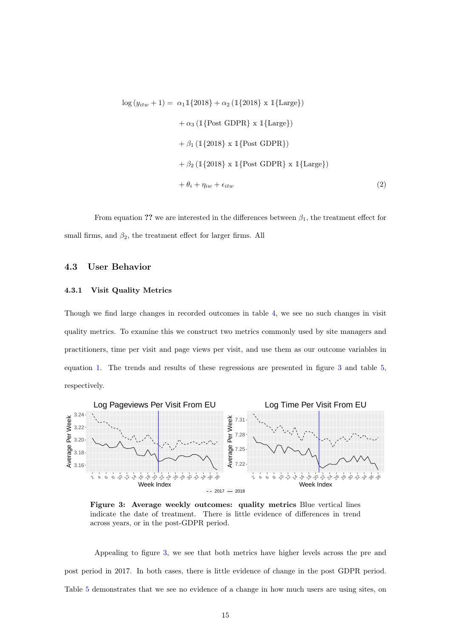<span id="page-14-0"></span>
$$
\log (y_{itw} + 1) = \alpha_1 \mathbb{1} \{ 2018 \} + \alpha_2 \left( \mathbb{1} \{ 2018 \} \times \mathbb{1} \{ \text{Large} \} \right)
$$
  
+  $\alpha_3 \left( \mathbb{1} \{ \text{Post GDPR} \} \times \mathbb{1} \{ \text{Large} \} \right)$   
+  $\beta_1 \left( \mathbb{1} \{ 2018 \} \times \mathbb{1} \{ \text{Post GDPR} \} \right)$   
+  $\beta_2 \left( \mathbb{1} \{ 2018 \} \times \mathbb{1} \{ \text{Post GDPR} \} \times \mathbb{1} \{ \text{Large} \} \right)$   
+  $\theta_i + \eta_{iw} + \epsilon_{itw}$  (2)

From equation ?? we are interested in the differences between  $\beta_1$ , the treatment effect for small firms, and  $\beta_2$ , the treatment effect for larger firms. All

### 4.3 User Behavior

#### 4.3.1 Visit Quality Metrics

Though we find large changes in recorded outcomes in table [4,](#page-13-0) we see no such changes in visit quality metrics. To examine this we construct two metrics commonly used by site managers and practitioners, time per visit and page views per visit, and use them as our outcome variables in equation [1.](#page-12-0) The trends and results of these regressions are presented in figure [3](#page-14-1) and table [5,](#page-15-0) respectively.

<span id="page-14-1"></span>

Figure 3: Average weekly outcomes: quality metrics Blue vertical lines indicate the date of treatment. There is little evidence of differences in trend across years, or in the post-GDPR period.

Appealing to figure [3,](#page-14-1) we see that both metrics have higher levels across the pre and post period in 2017. In both cases, there is little evidence of change in the post GDPR period. Table [5](#page-15-0) demonstrates that we see no evidence of a change in how much users are using sites, on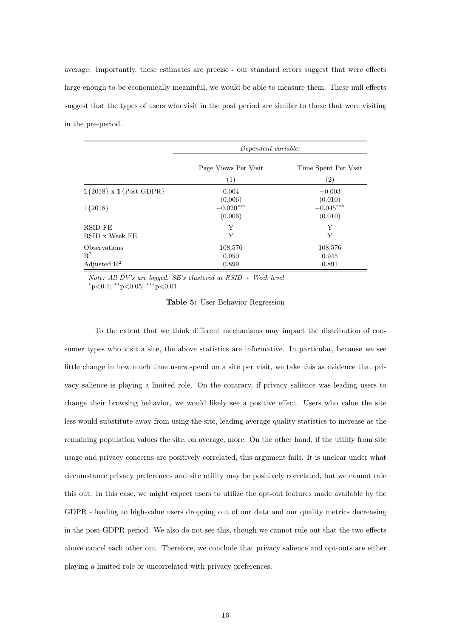average. Importantly, these estimates are precise - our standard errors suggest that were effects large enough to be economically meaninful, we would be able to measure them. These null effects suggest that the types of users who visit in the post period are similar to those that were visiting in the pre-period.

<span id="page-15-0"></span>

|                                | Dependent variable:  |                      |
|--------------------------------|----------------------|----------------------|
|                                | Page Views Per Visit | Time Spent Per Visit |
|                                | (1)                  | (2)                  |
| $1{2018} \times 1$ {Post GDPR} | 0.004                | $-0.003$             |
|                                | (0.006)              | (0.010)              |
| $1{2018}$                      | $-0.020***$          | $-0.045***$          |
|                                | (0.006)              | (0.010)              |
| <b>RSID FE</b>                 | Y                    | Y                    |
| RSID x Week FE                 | Y                    | Y                    |
| <b>Observations</b>            | 108,576              | 108,576              |
| $R^2$                          | 0.950                | 0.945                |
| Adjusted $\mathbb{R}^2$        | 0.899                | 0.891                |

Note: All DV's are logged. SE's clustered at  $RSID + Week level$  $*p<0.1$ ;  $*p<0.05$ ;  $***p<0.01$ 

| Table 5: User Behavior Regression |  |  |  |  |
|-----------------------------------|--|--|--|--|
|-----------------------------------|--|--|--|--|

To the extent that we think different mechanisms may impact the distribution of consumer types who visit a site, the above statistics are informative. In particular, because we see little change in how much time users spend on a site per visit, we take this as evidence that privacy salience is playing a limited role. On the contrary, if privacy salience was leading users to change their browsing behavior, we would likely see a positive effect. Users who value the site less would substitute away from using the site, leading average quality statistics to increase as the remaining population values the site, on average, more. On the other hand, if the utility from site usage and privacy concerns are positively correlated, this argument fails. It is unclear under what circumstance privacy preferences and site utility may be positively correlated, but we cannot rule this out. In this case, we might expect users to utilize the opt-out features made available by the GDPR - leading to high-value users dropping out of our data and our quality metrics decreasing in the post-GDPR period. We also do not see this, though we cannot rule out that the two effects above cancel each other out. Therefore, we conclude that privacy salience and opt-outs are either playing a limited role or uncorrelated with privacy preferences.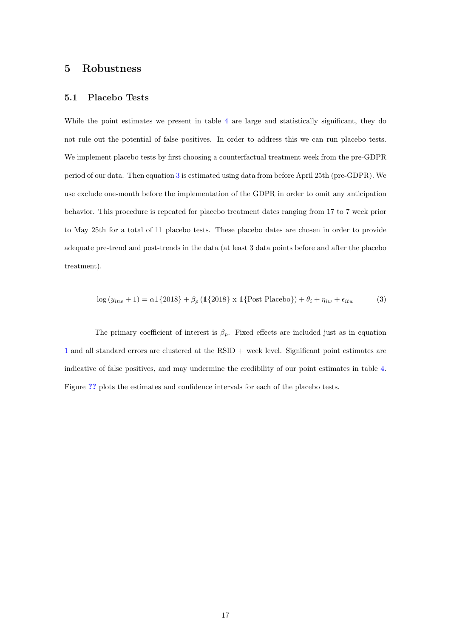## 5 Robustness

#### 5.1 Placebo Tests

While the point estimates we present in table [4](#page-13-0) are large and statistically significant, they do not rule out the potential of false positives. In order to address this we can run placebo tests. We implement placebo tests by first choosing a counterfactual treatment week from the pre-GDPR period of our data. Then equation [3](#page-16-0) is estimated using data from before April 25th (pre-GDPR). We use exclude one-month before the implementation of the GDPR in order to omit any anticipation behavior. This procedure is repeated for placebo treatment dates ranging from 17 to 7 week prior to May 25th for a total of 11 placebo tests. These placebo dates are chosen in order to provide adequate pre-trend and post-trends in the data (at least 3 data points before and after the placebo treatment).

<span id="page-16-0"></span>
$$
\log(y_{itw} + 1) = \alpha \mathbb{1}\{2018\} + \beta_p \left(\mathbb{1}\{2018\} \times \mathbb{1}\{\text{Post Placebo}\}\right) + \theta_i + \eta_{iw} + \epsilon_{itw}
$$
(3)

The primary coefficient of interest is  $\beta_p$ . Fixed effects are included just as in equation [1](#page-12-0) and all standard errors are clustered at the RSID + week level. Significant point estimates are indicative of false positives, and may undermine the credibility of our point estimates in table [4.](#page-13-0) Figure [??](#page-17-1) plots the estimates and confidence intervals for each of the placebo tests.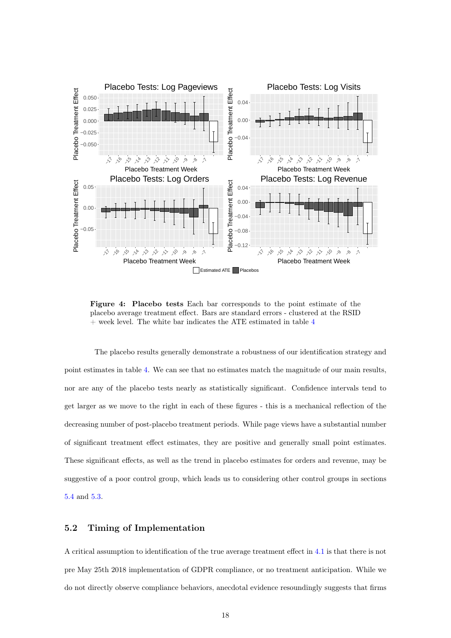<span id="page-17-1"></span>

Figure 4: Placebo tests Each bar corresponds to the point estimate of the placebo average treatment effect. Bars are standard errors - clustered at the RSID  $+$  week level. The white bar indicates the ATE estimated in table  $4$ 

The placebo results generally demonstrate a robustness of our identification strategy and point estimates in table [4.](#page-13-0) We can see that no estimates match the magnitude of our main results, nor are any of the placebo tests nearly as statistically significant. Confidence intervals tend to get larger as we move to the right in each of these figures - this is a mechanical reflection of the decreasing number of post-placebo treatment periods. While page views have a substantial number of significant treatment effect estimates, they are positive and generally small point estimates. These significant effects, as well as the trend in placebo estimates for orders and revenue, may be suggestive of a poor control group, which leads us to considering other control groups in sections [5.4](#page-19-0) and [5.3.](#page-18-0)

### <span id="page-17-0"></span>5.2 Timing of Implementation

A critical assumption to identification of the true average treatment effect in [4.1](#page-12-1) is that there is not pre May 25th 2018 implementation of GDPR compliance, or no treatment anticipation. While we do not directly observe compliance behaviors, anecdotal evidence resoundingly suggests that firms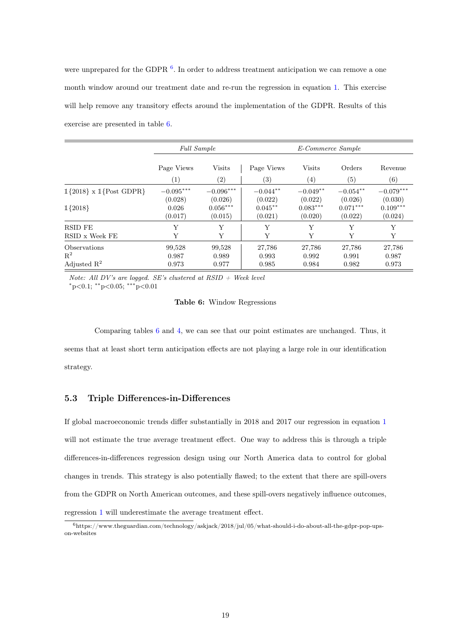were unprepared for the GDPR<sup>[6](#page-0-0)</sup>. In order to address treatment anticipation we can remove a one month window around our treatment date and re-run the regression in equation [1.](#page-12-0) This exercise will help remove any transitory effects around the implementation of the GDPR. Results of this exercise are presented in table [6.](#page-18-1)

<span id="page-18-1"></span>

|                                | <b>Full Sample</b> |                   |            | E-Commerce Sample |            |             |
|--------------------------------|--------------------|-------------------|------------|-------------------|------------|-------------|
|                                | Page Views         | Visits            | Page Views | <b>Visits</b>     | Orders     | Revenue     |
|                                | (1)                | $\left( 2\right)$ | (3)        | $\left( 4\right)$ | (5)        | (6)         |
| $1{2018} \times 1$ {Post GDPR} | $-0.095***$        | $-0.096***$       | $-0.044**$ | $-0.049**$        | $-0.054**$ | $-0.079***$ |
|                                | (0.028)            | (0.026)           | (0.022)    | (0.022)           | (0.026)    | (0.030)     |
| $1{2018}$                      | 0.026              | $0.056***$        | $0.045***$ | $0.083***$        | $0.071***$ | $0.109***$  |
|                                | (0.017)            | (0.015)           | (0.021)    | (0.020)           | (0.022)    | (0.024)     |
| RSID FE                        | Υ                  | Υ                 | Υ          | Y                 | Υ          | Y           |
| RSID x Week FE                 | Y                  | Y                 | Y          | Y                 | Y          | Y           |
| Observations                   | 99,528             | 99,528            | 27,786     | 27,786            | 27,786     | 27,786      |
| $\mathbf{R}^2$                 | 0.987              | 0.989             | 0.993      | 0.992             | 0.991      | 0.987       |
| Adjusted $\mathbb{R}^2$        | 0.973              | 0.977             | 0.985      | 0.984             | 0.982      | 0.973       |

Note: All DV's are logged. SE's clustered at  $RSID + Week$  level  $*p<0.1$ ;  $*p<0.05$ ;  $***p<0.01$ 

#### Table 6: Window Regressions

Comparing tables [6](#page-18-1) and [4,](#page-13-0) we can see that our point estimates are unchanged. Thus, it seems that at least short term anticipation effects are not playing a large role in our identification strategy.

### <span id="page-18-0"></span>5.3 Triple Differences-in-Differences

If global macroeconomic trends differ substantially in 2018 and 2017 our regression in equation [1](#page-12-0) will not estimate the true average treatment effect. One way to address this is through a triple differences-in-differences regression design using our North America data to control for global changes in trends. This strategy is also potentially flawed; to the extent that there are spill-overs from the GDPR on North American outcomes, and these spill-overs negatively influence outcomes, regression [1](#page-12-0) will underestimate the average treatment effect.

 $6$ https://www.theguardian.com/technology/askjack/2018/jul/05/what-should-i-do-about-all-the-gdpr-pop-upson-websites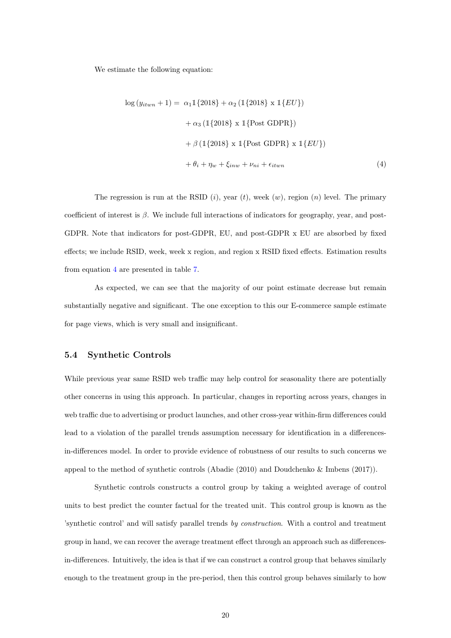We estimate the following equation:

<span id="page-19-1"></span>
$$
\log (y_{itwn} + 1) = \alpha_1 \mathbb{1}\{2018\} + \alpha_2 \left(\mathbb{1}\{2018\} \times \mathbb{1}\{EU\}\right)
$$

$$
+ \alpha_3 \left(\mathbb{1}\{2018\} \times \mathbb{1}\{\text{Post GDPR}\}\right)
$$

$$
+ \beta \left(\mathbb{1}\{2018\} \times \mathbb{1}\{\text{Post GDPR}\} \times \mathbb{1}\{EU\}\right)
$$

$$
+ \theta_i + \eta_w + \xi_{inv} + \nu_{ni} + \epsilon_{itwn}
$$
(4)

The regression is run at the RSID  $(i)$ , year  $(t)$ , week  $(w)$ , region  $(n)$  level. The primary coefficient of interest is  $\beta$ . We include full interactions of indicators for geography, year, and post-GDPR. Note that indicators for post-GDPR, EU, and post-GDPR x EU are absorbed by fixed effects; we include RSID, week, week x region, and region x RSID fixed effects. Estimation results from equation [4](#page-19-1) are presented in table [7.](#page-20-0)

As expected, we can see that the majority of our point estimate decrease but remain substantially negative and significant. The one exception to this our E-commerce sample estimate for page views, which is very small and insignificant.

### <span id="page-19-0"></span>5.4 Synthetic Controls

While previous year same RSID web traffic may help control for seasonality there are potentially other concerns in using this approach. In particular, changes in reporting across years, changes in web traffic due to advertising or product launches, and other cross-year within-firm differences could lead to a violation of the parallel trends assumption necessary for identification in a differencesin-differences model. In order to provide evidence of robustness of our results to such concerns we appeal to the method of synthetic controls (Abadie (2010) and Doudchenko & Imbens (2017)).

Synthetic controls constructs a control group by taking a weighted average of control units to best predict the counter factual for the treated unit. This control group is known as the 'synthetic control' and will satisfy parallel trends by construction. With a control and treatment group in hand, we can recover the average treatment effect through an approach such as differencesin-differences. Intuitively, the idea is that if we can construct a control group that behaves similarly enough to the treatment group in the pre-period, then this control group behaves similarly to how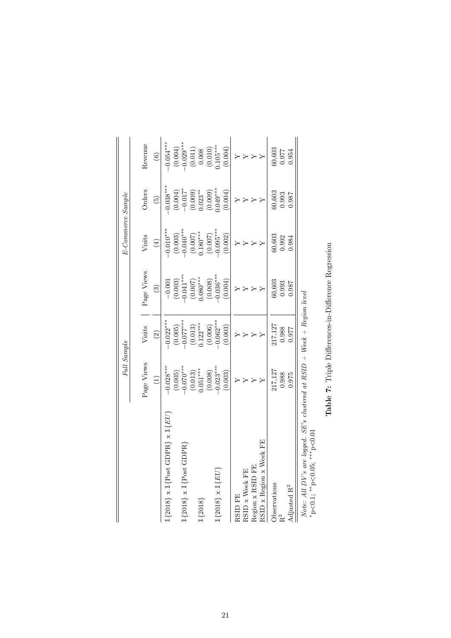<span id="page-20-0"></span>

|                                                                             | Full Sample             |                          |                         | E-Commerce Sample        |                      |                                                    |
|-----------------------------------------------------------------------------|-------------------------|--------------------------|-------------------------|--------------------------|----------------------|----------------------------------------------------|
|                                                                             | Page Views              | Visits                   | Page Views              | Visits                   | Orders               | Revenue                                            |
|                                                                             | $\widehat{\Xi}$         | $\widehat{c}$            | $\binom{3}{2}$          | $\left( \pm \right)$     | $\widetilde{G}$      | $\odot$                                            |
| $1{2018} \times 1$ {Post GDPR} $\times 1$ { $EU$ }                          | $-0.028***$             | $-0.022***$              | $-0.001$                | $-0.010***$              | $0.038***$           | $-0.054***$                                        |
|                                                                             | (0.005)                 | $(0.005)$<br>$-0.077***$ | $(0.003)$<br>$0.041***$ | $(0.003)$<br>$-0.040***$ | $(0.004)$<br>-0.017* | $(0.004)$<br>$-0.029***$<br>$(0.011)$<br>$(0.011)$ |
| $1{2018} \times 1{Post}$ GDPR                                               | $0.070***$              |                          |                         |                          |                      |                                                    |
|                                                                             | $(0.013)$<br>$0.051***$ | (0.013)                  | (0.007)                 | $(0.007)$<br>0.180***    | (0.009)              |                                                    |
| $1{2018}$                                                                   |                         | $0.122***$               | $0.080***$              |                          | $0.023**$            |                                                    |
|                                                                             | (0.008)                 | (0.006)                  | (0.008)                 | (0.007)                  | (0.009)              | (0.010)                                            |
| $1{2018} \times 1{EV}$                                                      | $-0.023$                | $-0.062$ ***             | $-0.036$ ***            | $-0.095***$              | $0.049***$           | $0.105***$                                         |
|                                                                             | (0.003)                 | (0.003)                  | (0.004)                 | (0.002)                  | (0.004)              | (0.004)                                            |
| RSID FE                                                                     | Υ                       |                          | Υ                       | $\geq$                   |                      |                                                    |
| RSID x Week FE                                                              | $\rightarrow$           |                          |                         |                          |                      |                                                    |
| Region x RSID FE                                                            |                         |                          |                         |                          |                      |                                                    |
| RSID x Region x Week FE                                                     |                         | $\rightarrow$            |                         | $\rightarrow$            | $\geq$               |                                                    |
| Observations                                                                | 217,127                 | 217,127                  | 60,603                  | 60,603                   | 60,603               | 60,603                                             |
| R <sup>2</sup>                                                              | 0.988                   | 0.988                    | 0.993                   | 0.992                    | 0.993                | 0.977                                              |
| Adjusted $\mathbf{R}^2$                                                     | 0.975                   | 0.977                    | 186.0                   | 0.984                    | 0.987                | 0.954                                              |
| Note: All $DV's$ are logged. SE's clustered at $RSID + Week + Region$ level |                         |                          |                         |                          |                      |                                                    |
| *p<0.1; **p<0.05; ***p<0.01                                                 |                         |                          |                         |                          |                      |                                                    |

Table 7: Triple Differences-in-Difference Regression Table 7: Triple Differences-in-Difference Regression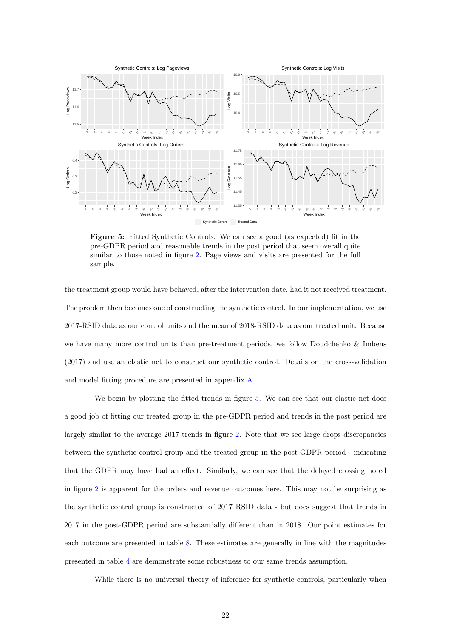<span id="page-21-0"></span>

Figure 5: Fitted Synthetic Controls. We can see a good (as expected) fit in the pre-GDPR period and reasonable trends in the post period that seem overall quite similar to those noted in figure [2.](#page-11-1) Page views and visits are presented for the full sample.

the treatment group would have behaved, after the intervention date, had it not received treatment. The problem then becomes one of constructing the synthetic control. In our implementation, we use 2017-RSID data as our control units and the mean of 2018-RSID data as our treated unit. Because we have many more control units than pre-treatment periods, we follow Doudchenko & Imbens (2017) and use an elastic net to construct our synthetic control. Details on the cross-validation and model fitting procedure are presented in appendix [A.](#page-24-0)

We begin by plotting the fitted trends in figure [5.](#page-21-0) We can see that our elastic net does a good job of fitting our treated group in the pre-GDPR period and trends in the post period are largely similar to the average 2017 trends in figure [2.](#page-11-1) Note that we see large drops discrepancies between the synthetic control group and the treated group in the post-GDPR period - indicating that the GDPR may have had an effect. Similarly, we can see that the delayed crossing noted in figure [2](#page-11-1) is apparent for the orders and revenue outcomes here. This may not be surprising as the synthetic control group is constructed of 2017 RSID data - but does suggest that trends in 2017 in the post-GDPR period are substantially different than in 2018. Our point estimates for each outcome are presented in table [8.](#page-22-0) These estimates are generally in line with the magnitudes presented in table [4](#page-13-0) are demonstrate some robustness to our same trends assumption.

While there is no universal theory of inference for synthetic controls, particularly when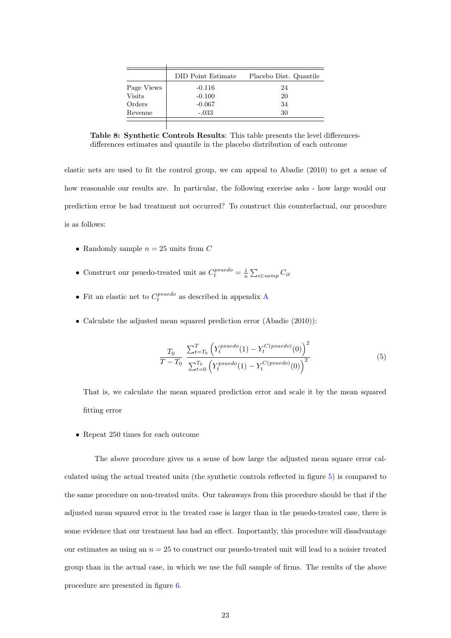<span id="page-22-0"></span>

|               | DID Point Estimate | Placebo Dist. Quantile |
|---------------|--------------------|------------------------|
| Page Views    | $-0.116$           | 24                     |
| <b>Visits</b> | $-0.100$           | 20                     |
| Orders        | $-0.067$           | 34                     |
| Revenue       | $-.033$            | 30                     |

Table 8: Synthetic Controls Results: This table presents the level differencesdifferences estimates and quantile in the placebo distribution of each outcome

elastic nets are used to fit the control group, we can appeal to Abadie (2010) to get a sense of how reasonable our results are. In particular, the following exercise asks - how large would our prediction error be had treatment not occurred? To construct this counterfactual, our procedure is as follows:

- Randomly sample  $n = 25$  units from C
- Construct our psuedo-treated unit as  $C_t^{pseudo} = \frac{1}{n} \sum_{i \in samp} C_{it}$
- Fit an elastic net to  $C_t^{pseudo}$  as described in appendix [A](#page-24-0)
- Calculate the adjusted mean squared prediction error (Abadie (2010)):

$$
\frac{T_0}{T - T_0} \frac{\sum_{t=T_0}^{T} \left( Y_t^{pseudo}(1) - Y_t^{C(psuedo)}(0) \right)^2}{\sum_{t=0}^{T_0} \left( Y_t^{pseudo}(1) - Y_t^{C(psuedo)}(0) \right)^2}
$$
\n(5)

That is, we calculate the mean squared prediction error and scale it by the mean squared fitting error

• Repeat 250 times for each outcome

The above procedure gives us a sense of how large the adjusted mean square error calculated using the actual treated units (the synthetic controls reflected in figure [5\)](#page-21-0) is compared to the same procedure on non-treated units. Our takeaways from this procedure should be that if the adjusted mean squared error in the treated case is larger than in the psuedo-treated case, there is some evidence that our treatment has had an effect. Importantly, this procedure will disadvantage our estimates as using an  $n = 25$  to construct our psuedo-treated unit will lead to a noisier treated group than in the actual case, in which we use the full sample of firms. The results of the above procedure are presented in figure [6.](#page-23-0)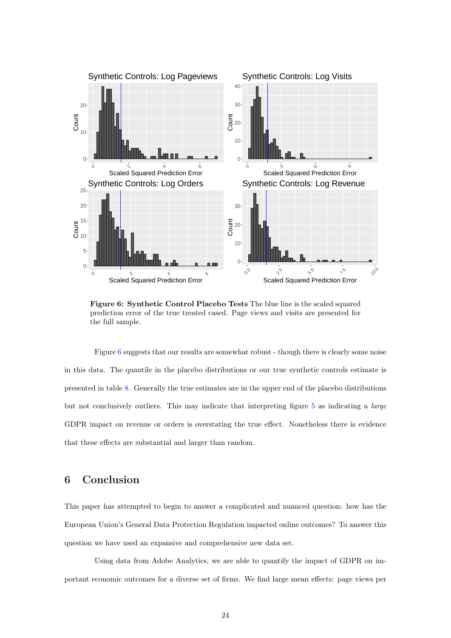<span id="page-23-0"></span>

Figure 6: Synthetic Control Placebo Tests The blue line is the scaled squared prediction error of the true treated cased. Page views and visits are presented for the full sample.

Figure [6](#page-23-0) suggests that our results are somewhat robust - though there is clearly some noise in this data. The quantile in the placebo distributions or our true synthetic controls estimate is presented in table [8.](#page-22-0) Generally the true estimates are in the upper end of the placebo distributions but not conclusively outliers. This may indicate that interpreting figure [5](#page-21-0) as indicating a large GDPR impact on revenue or orders is overstating the true effect. Nonetheless there is evidence that these effects are substantial and larger than random.

## 6 Conclusion

This paper has attempted to begin to answer a complicated and nuanced question: how has the European Union's General Data Protection Regulation impacted online outcomes? To answer this question we have used an expansive and comprehensive new data set.

Using data from Adobe Analytics, we are able to quantify the impact of GDPR on important economic outcomes for a diverse set of firms. We find large mean effects: page views per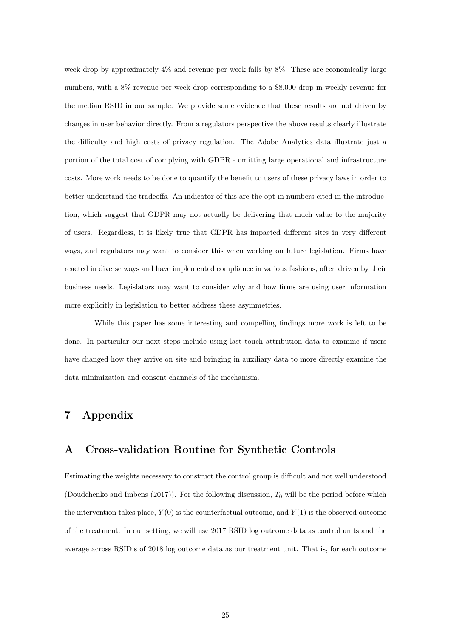week drop by approximately 4% and revenue per week falls by 8%. These are economically large numbers, with a 8% revenue per week drop corresponding to a \$8,000 drop in weekly revenue for the median RSID in our sample. We provide some evidence that these results are not driven by changes in user behavior directly. From a regulators perspective the above results clearly illustrate the difficulty and high costs of privacy regulation. The Adobe Analytics data illustrate just a portion of the total cost of complying with GDPR - omitting large operational and infrastructure costs. More work needs to be done to quantify the benefit to users of these privacy laws in order to better understand the tradeoffs. An indicator of this are the opt-in numbers cited in the introduction, which suggest that GDPR may not actually be delivering that much value to the majority of users. Regardless, it is likely true that GDPR has impacted different sites in very different ways, and regulators may want to consider this when working on future legislation. Firms have reacted in diverse ways and have implemented compliance in various fashions, often driven by their business needs. Legislators may want to consider why and how firms are using user information more explicitly in legislation to better address these asymmetries.

While this paper has some interesting and compelling findings more work is left to be done. In particular our next steps include using last touch attribution data to examine if users have changed how they arrive on site and bringing in auxiliary data to more directly examine the data minimization and consent channels of the mechanism.

## <span id="page-24-0"></span>7 Appendix

## A Cross-validation Routine for Synthetic Controls

Estimating the weights necessary to construct the control group is difficult and not well understood (Doudchenko and Imbens (2017)). For the following discussion,  $T_0$  will be the period before which the intervention takes place,  $Y(0)$  is the counterfactual outcome, and  $Y(1)$  is the observed outcome of the treatment. In our setting, we will use 2017 RSID log outcome data as control units and the average across RSID's of 2018 log outcome data as our treatment unit. That is, for each outcome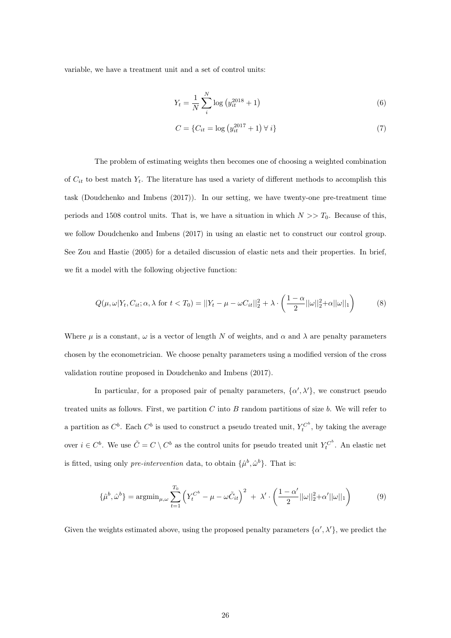variable, we have a treatment unit and a set of control units:

<span id="page-25-1"></span>
$$
Y_t = \frac{1}{N} \sum_{i}^{N} \log (y_{it}^{2018} + 1)
$$
 (6)

<span id="page-25-0"></span>
$$
C = \{C_{it} = \log\left(y_{it}^{2017} + 1\right) \forall i\}
$$
\n(7)

The problem of estimating weights then becomes one of choosing a weighted combination of  $C_{it}$  to best match  $Y_t$ . The literature has used a variety of different methods to accomplish this task (Doudchenko and Imbens (2017)). In our setting, we have twenty-one pre-treatment time periods and 1508 control units. That is, we have a situation in which  $N \gg T_0$ . Because of this, we follow Doudchenko and Imbens (2017) in using an elastic net to construct our control group. See Zou and Hastie (2005) for a detailed discussion of elastic nets and their properties. In brief, we fit a model with the following objective function:

$$
Q(\mu,\omega|Y_t,C_{it};\alpha,\lambda \text{ for } t < T_0) = ||Y_t - \mu - \omega C_{it}||_2^2 + \lambda \cdot \left(\frac{1-\alpha}{2}||\omega||_2^2 + \alpha ||\omega||_1\right) \tag{8}
$$

Where  $\mu$  is a constant,  $\omega$  is a vector of length N of weights, and  $\alpha$  and  $\lambda$  are penalty parameters chosen by the econometrician. We choose penalty parameters using a modified version of the cross validation routine proposed in Doudchenko and Imbens (2017).

In particular, for a proposed pair of penalty parameters,  $\{\alpha', \lambda'\}$ , we construct pseudo treated units as follows. First, we partition  $C$  into  $B$  random partitions of size  $b$ . We will refer to a partition as  $C^b$ . Each  $C^b$  is used to construct a pseudo treated unit,  $Y_t^{C^b}$ , by taking the average over  $i \in C^b$ . We use  $\tilde{C} = C \setminus C^b$  as the control units for pseudo treated unit  $Y_t^{C^b}$ . An elastic net is fitted, using only *pre-intervention* data, to obtain  $\{\hat{\mu}^b, \hat{\omega}^b\}$ . That is:

$$
\{\hat{\mu}^b, \hat{\omega}^b\} = \operatorname{argmin}_{\mu, \omega} \sum_{t=1}^{T_0} \left( Y_t^{C^b} - \mu - \omega \tilde{C}_{it} \right)^2 + \lambda' \cdot \left( \frac{1 - \alpha'}{2} ||\omega||_2^2 + \alpha' ||\omega||_1 \right) \tag{9}
$$

Given the weights estimated above, using the proposed penalty parameters  $\{\alpha',\lambda'\}$ , we predict the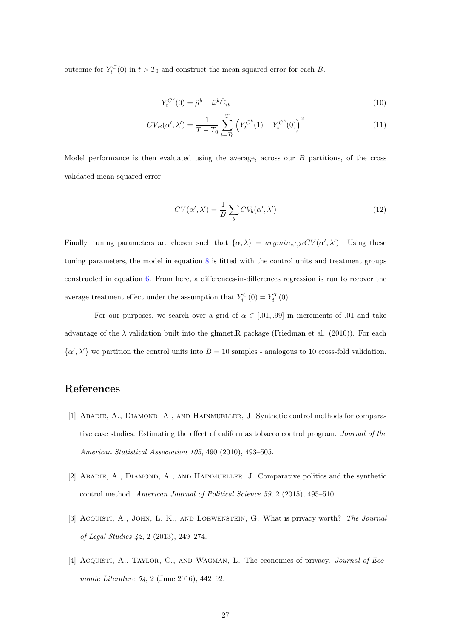outcome for  $Y_t^C(0)$  in  $t > T_0$  and construct the mean squared error for each B.

$$
Y_t^{C^b}(0) = \hat{\mu}^b + \hat{\omega}^b \tilde{C}_{it} \tag{10}
$$

$$
CV_B(\alpha', \lambda') = \frac{1}{T - T_0} \sum_{t = T_0}^{T} \left( Y_t^{C^b}(1) - Y_t^{C^b}(0) \right)^2
$$
\n(11)

Model performance is then evaluated using the average, across our  $B$  partitions, of the cross validated mean squared error.

$$
CV(\alpha', \lambda') = \frac{1}{B} \sum_{b} CV_b(\alpha', \lambda')
$$
\n(12)

Finally, tuning parameters are chosen such that  $\{\alpha,\lambda\} = argmin_{\alpha',\lambda'} CV(\alpha',\lambda')$ . Using these tuning parameters, the model in equation [8](#page-25-0) is fitted with the control units and treatment groups constructed in equation [6.](#page-25-1) From here, a differences-in-differences regression is run to recover the average treatment effect under the assumption that  $Y_i^C(0) = Y_i^T(0)$ .

For our purposes, we search over a grid of  $\alpha \in [0.01, 0.99]$  in increments of 0.01 and take advantage of the  $\lambda$  validation built into the glmnet. R package (Friedman et al. (2010)). For each  $\{\alpha',\lambda'\}$  we partition the control units into  $B=10$  samples - analogous to 10 cross-fold validation.

## References

- [1] ABADIE, A., DIAMOND, A., AND HAINMUELLER, J. Synthetic control methods for comparative case studies: Estimating the effect of californias tobacco control program. Journal of the American Statistical Association 105, 490 (2010), 493–505.
- [2] ABADIE, A., DIAMOND, A., AND HAINMUELLER, J. Comparative politics and the synthetic control method. American Journal of Political Science 59, 2 (2015), 495–510.
- [3] Acquisti, A., John, L. K., and Loewenstein, G. What is privacy worth? The Journal of Legal Studies 42, 2 (2013), 249–274.
- [4] ACQUISTI, A., TAYLOR, C., AND WAGMAN, L. The economics of privacy. Journal of Economic Literature 54, 2 (June 2016), 442–92.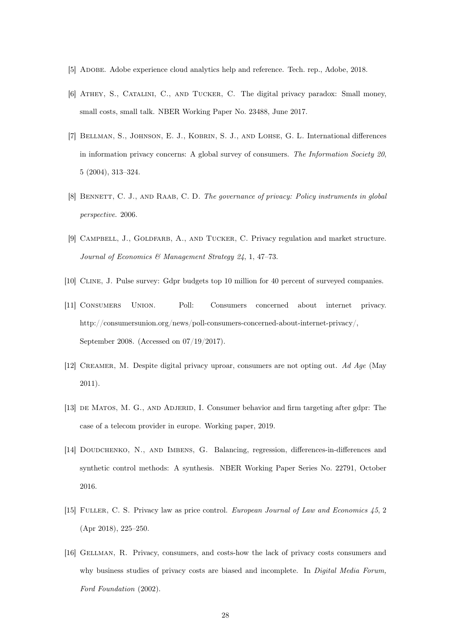- [5] Adobe. Adobe experience cloud analytics help and reference. Tech. rep., Adobe, 2018.
- [6] Athey, S., Catalini, C., and Tucker, C. The digital privacy paradox: Small money, small costs, small talk. NBER Working Paper No. 23488, June 2017.
- [7] BELLMAN, S., JOHNSON, E. J., KOBRIN, S. J., AND LOHSE, G. L. International differences in information privacy concerns: A global survey of consumers. The Information Society 20, 5 (2004), 313–324.
- [8] BENNETT, C. J., AND RAAB, C. D. The governance of privacy: Policy instruments in global perspective. 2006.
- [9] CAMPBELL, J., GOLDFARB, A., AND TUCKER, C. Privacy regulation and market structure. Journal of Economics & Management Strategy 24, 1, 47–73.
- [10] Cline, J. Pulse survey: Gdpr budgets top 10 million for 40 percent of surveyed companies.
- [11] Consumers Union. Poll: Consumers concerned about internet privacy. http://consumersunion.org/news/poll-consumers-concerned-about-internet-privacy/, September 2008. (Accessed on 07/19/2017).
- [12] Creamer, M. Despite digital privacy uproar, consumers are not opting out. Ad Age (May 2011).
- [13] de Matos, M. G., and Adjerid, I. Consumer behavior and firm targeting after gdpr: The case of a telecom provider in europe. Working paper, 2019.
- [14] DOUDCHENKO, N., AND IMBENS, G. Balancing, regression, differences-in-differences and synthetic control methods: A synthesis. NBER Working Paper Series No. 22791, October 2016.
- [15] FULLER, C. S. Privacy law as price control. *European Journal of Law and Economics 45*, 2 (Apr 2018), 225–250.
- [16] Gellman, R. Privacy, consumers, and costs-how the lack of privacy costs consumers and why business studies of privacy costs are biased and incomplete. In *Digital Media Forum*, Ford Foundation (2002).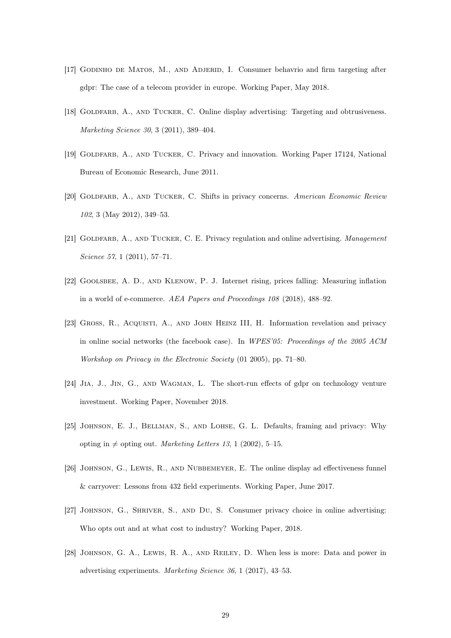- [17] Godinho de Matos, M., and Adjerid, I. Consumer behavrio and firm targeting after gdpr: The case of a telecom provider in europe. Working Paper, May 2018.
- [18] GOLDFARB, A., AND TUCKER, C. Online display advertising: Targeting and obtrusiveness. Marketing Science 30, 3 (2011), 389–404.
- [19] Goldfarb, A., and Tucker, C. Privacy and innovation. Working Paper 17124, National Bureau of Economic Research, June 2011.
- [20] GOLDFARB, A., AND TUCKER, C. Shifts in privacy concerns. American Economic Review 102, 3 (May 2012), 349–53.
- [21] GOLDFARB, A., AND TUCKER, C. E. Privacy regulation and online advertising. *Management* Science 57, 1 (2011), 57-71.
- [22] Goolsbee, A. D., and Klenow, P. J. Internet rising, prices falling: Measuring inflation in a world of e-commerce. AEA Papers and Proceedings 108 (2018), 488–92.
- [23] Gross, R., Acquisti, A., and John Heinz III, H. Information revelation and privacy in online social networks (the facebook case). In WPES'05: Proceedings of the 2005 ACM Workshop on Privacy in the Electronic Society (01 2005), pp. 71–80.
- [24] Jia, J., Jin, G., and Wagman, L. The short-run effects of gdpr on technology venture investment. Working Paper, November 2018.
- [25] JOHNSON, E. J., BELLMAN, S., AND LOHSE, G. L. Defaults, framing and privacy: Why opting in  $\neq$  opting out. Marketing Letters 13, 1 (2002), 5–15.
- [26] JOHNSON, G., LEWIS, R., AND NUBBEMEYER, E. The online display ad effectiveness funnel & carryover: Lessons from 432 field experiments. Working Paper, June 2017.
- [27] Johnson, G., Shriver, S., and Du, S. Consumer privacy choice in online advertising: Who opts out and at what cost to industry? Working Paper, 2018.
- [28] Johnson, G. A., Lewis, R. A., and Reiley, D. When less is more: Data and power in advertising experiments. Marketing Science 36, 1 (2017), 43–53.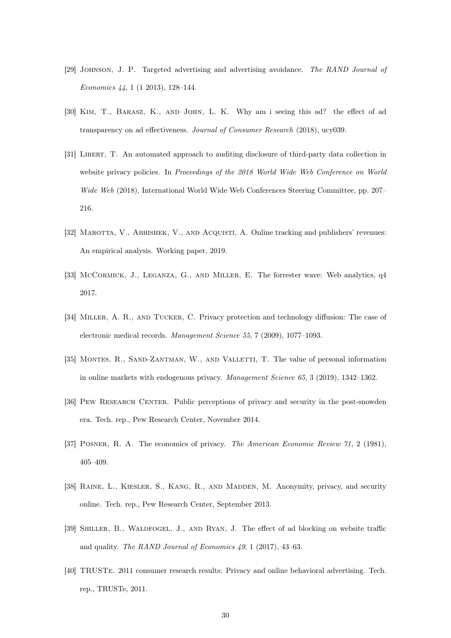- [29] Johnson, J. P. Targeted advertising and advertising avoidance. The RAND Journal of Economics 44, 1 (1 2013), 128–144.
- [30] Kim, T., Barasz, K., and John, L. K. Why am i seeing this ad? the effect of ad transparency on ad effectiveness. Journal of Consumer Research (2018), ucy039.
- [31] Libert, T. An automated approach to auditing disclosure of third-party data collection in website privacy policies. In Proceedings of the 2018 World Wide Web Conference on World Wide Web (2018), International World Wide Web Conferences Steering Committee, pp. 207– 216.
- [32] MAROTTA, V., ABHISHEK, V., AND ACQUISTI, A. Online tracking and publishers' revenues: An empirical analysis. Working paper, 2019.
- [33] McCormick, J., Leganza, G., and Miller, E. The forrester wave: Web analytics, q4 2017.
- [34] Miller, A. R., and Tucker, C. Privacy protection and technology diffusion: The case of electronic medical records. Management Science 55, 7 (2009), 1077–1093.
- [35] MONTES, R., SAND-ZANTMAN, W., AND VALLETTI, T. The value of personal information in online markets with endogenous privacy. Management Science 65, 3 (2019), 1342–1362.
- [36] PEW RESEARCH CENTER. Public perceptions of privacy and security in the post-snowden era. Tech. rep., Pew Research Center, November 2014.
- [37] Posner, R. A. The economics of privacy. The American Economic Review 71, 2 (1981), 405–409.
- [38] RAINE, L., KIESLER, S., KANG, R., AND MADDEN, M. Anonymity, privacy, and security online. Tech. rep., Pew Research Center, September 2013.
- [39] Shiller, B., Waldfogel, J., and Ryan, J. The effect of ad blocking on website traffic and quality. The RAND Journal of Economics 49, 1 (2017), 43–63.
- [40] TRUSTe. 2011 consumer research results: Privacy and online behavioral advertising. Tech. rep., TRUSTe, 2011.